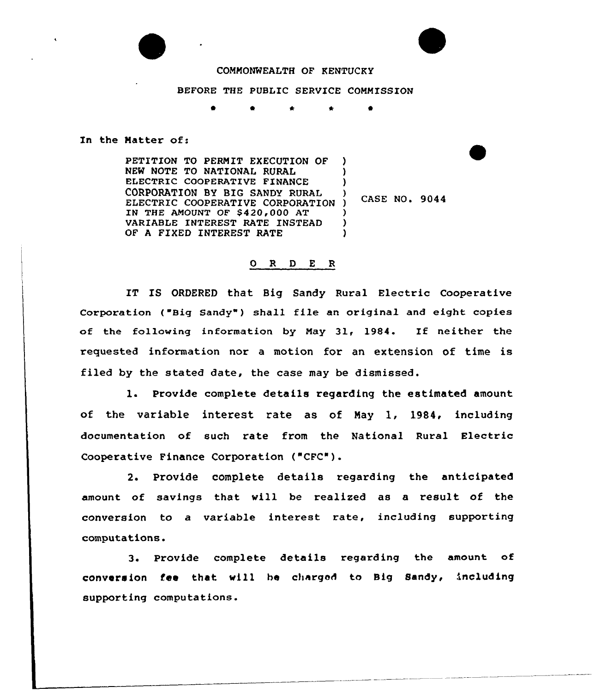## COMMONWEALTH OF KENTUCKY

## BEFORE THE PUBLIC SERVICE COMMISSION

0 0 *\** \*

## In the Matter of:

PETITION TO PERMIT EXECUTION OF NEW NOTE TO NATIONAl. RURAL ELECTRIC COOPERATIVE FINANCE CORPORATION BY BIG SANDY RURAL ELECTRIC COOPERATIVE CORPORATION IN THE AMOUNT OF  $$420,000$  AT VARIABLE INTEREST RATE INSTEAD OF A FIXED INTEREST RATE ) ) ) ) ) CASE NO. 9044 ) ) )

## 0 <sup>R</sup> <sup>D</sup> E <sup>R</sup>

IT IS ORDERED that Big Sandy Rural Electric Cooperative Corporation ( "Big Sandy" ) shall file an original and eight copies of the following information by May 31, 1984. If neither the requested infcrmation nor <sup>a</sup> motion for an extension of time is filed by the stated date, the case may be dismissed.

l. Provide complete details regarding the estimated amount of the variable interest rate as of May 1, 1984, including documentation of such rate from the National Rural Electric Cooperative Finance Corporation ("CFC").

2. Provide complete details regarding the anticipated amount of savings that vill be realized as a result of the conversion to a variable interest rate, including supporting computations.

3. Provide complete details regarding the amount of conversion fee that vill he charged to Big Sandy, including supporting computations.